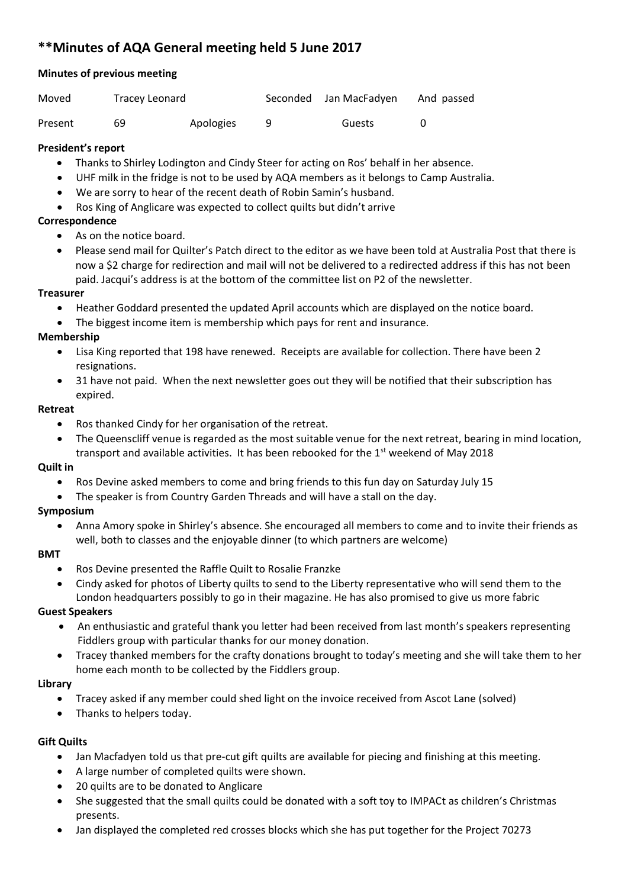# **\*\*Minutes of AQA General meeting held 5 June 2017**

# **Minutes of previous meeting**

| Moved   | Tracey Leonard |           | Seconded Jan MacFadyen | And passed |
|---------|----------------|-----------|------------------------|------------|
| Present | 69             | Apologies | Guests                 |            |

## **President's report**

- Thanks to Shirley Lodington and Cindy Steer for acting on Ros' behalf in her absence.
- UHF milk in the fridge is not to be used by AQA members as it belongs to Camp Australia.
- We are sorry to hear of the recent death of Robin Samin's husband.
- Ros King of Anglicare was expected to collect quilts but didn't arrive

## **Correspondence**

- As on the notice board.
- Please send mail for Quilter's Patch direct to the editor as we have been told at Australia Post that there is now a \$2 charge for redirection and mail will not be delivered to a redirected address if this has not been paid. Jacqui's address is at the bottom of the committee list on P2 of the newsletter.

## **Treasurer**

- Heather Goddard presented the updated April accounts which are displayed on the notice board.
- The biggest income item is membership which pays for rent and insurance.

## **Membership**

- Lisa King reported that 198 have renewed. Receipts are available for collection. There have been 2 resignations.
- 31 have not paid. When the next newsletter goes out they will be notified that their subscription has expired.

#### **Retreat**

- Ros thanked Cindy for her organisation of the retreat.
- The Queenscliff venue is regarded as the most suitable venue for the next retreat, bearing in mind location, transport and available activities. It has been rebooked for the  $1<sup>st</sup>$  weekend of May 2018

## **Quilt in**

- Ros Devine asked members to come and bring friends to this fun day on Saturday July 15
- The speaker is from Country Garden Threads and will have a stall on the day.

## **Symposium**

• Anna Amory spoke in Shirley's absence. She encouraged all members to come and to invite their friends as well, both to classes and the enjoyable dinner (to which partners are welcome)

## **BMT**

- Ros Devine presented the Raffle Quilt to Rosalie Franzke
- Cindy asked for photos of Liberty quilts to send to the Liberty representative who will send them to the London headquarters possibly to go in their magazine. He has also promised to give us more fabric

## **Guest Speakers**

- An enthusiastic and grateful thank you letter had been received from last month's speakers representing Fiddlers group with particular thanks for our money donation.
- Tracey thanked members for the crafty donations brought to today's meeting and she will take them to her home each month to be collected by the Fiddlers group.

## **Library**

- Tracey asked if any member could shed light on the invoice received from Ascot Lane (solved)
- Thanks to helpers today.

## **Gift Quilts**

- Jan Macfadyen told us that pre-cut gift quilts are available for piecing and finishing at this meeting.
- A large number of completed quilts were shown.
- 20 quilts are to be donated to Anglicare
- She suggested that the small quilts could be donated with a soft toy to IMPACt as children's Christmas presents.
- Jan displayed the completed red crosses blocks which she has put together for the Project 70273